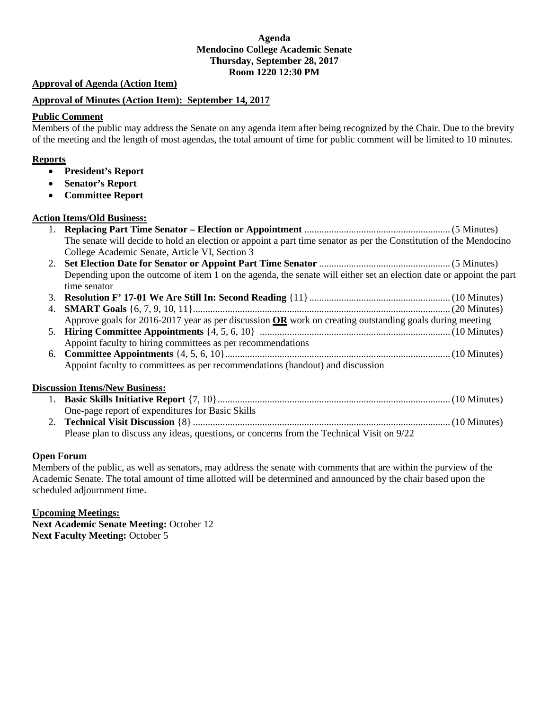## **Agenda Mendocino College Academic Senate Thursday, September 28, 2017 Room 1220 12:30 PM**

#### *<sup>U</sup>***Approval of Agenda (Action Item)**

#### *<sup>U</sup>***Approval of Minutes (Action Item): September 14, 2017**

#### **Public Comment**

Members of the public may address the Senate on any agenda item after being recognized by the Chair. Due to the brevity of the meeting and the length of most agendas, the total amount of time for public comment will be limited to 10 minutes.

#### *<sup>U</sup>***Reports**

- **President's Report**
- **Senator's Report**
- **Committee Report**

#### *<sup>U</sup>***Action Items/Old Business:**

| The senate will decide to hold an election or appoint a part time senator as per the Constitution of the Mendocino |               |
|--------------------------------------------------------------------------------------------------------------------|---------------|
| College Academic Senate, Article VI, Section 3                                                                     |               |
| Set Flection Date for Senator or Annoint Part Time Senator                                                         | $(5$ Minutee) |

- 2. **Set Election Date for Senator or Appoint Part Time Senator** .....................................................(5 Minutes) Depending upon the outcome of item 1 on the agenda, the senate will either set an election date or appoint the part time senator
- 3. **Resolution F' 17-01 We Are Still In: Second Reading** {11}.........................................................(10 Minutes) 4. **SMART Goals** {6, 7, 9, 10, 11}........................................................................................................(20 Minutes) Approve goals for 2016-2017 year as per discussion **OR** work on creating outstanding goals during meeting
- 5. **Hiring Committee Appointments** {4, 5, 6, 10} .............................................................................(10 Minutes) Appoint faculty to hiring committees as per recommendations
- 6. **Committee Appointments** {4, 5, 6, 10}...........................................................................................(10 Minutes) Appoint faculty to committees as per recommendations (handout) and discussion

## *<sup>U</sup>***Discussion Items/New Business:**

| One-page report of expenditures for Basic Skills                                          |
|-------------------------------------------------------------------------------------------|
|                                                                                           |
| Please plan to discuss any ideas, questions, or concerns from the Technical Visit on 9/22 |

## **Open Forum**

Members of the public, as well as senators, may address the senate with comments that are within the purview of the Academic Senate. The total amount of time allotted will be determined and announced by the chair based upon the scheduled adjournment time.

## *<sup>U</sup>***Upcoming Meetings:**

**Next Academic Senate Meeting:** October 12 **Next Faculty Meeting: October 5**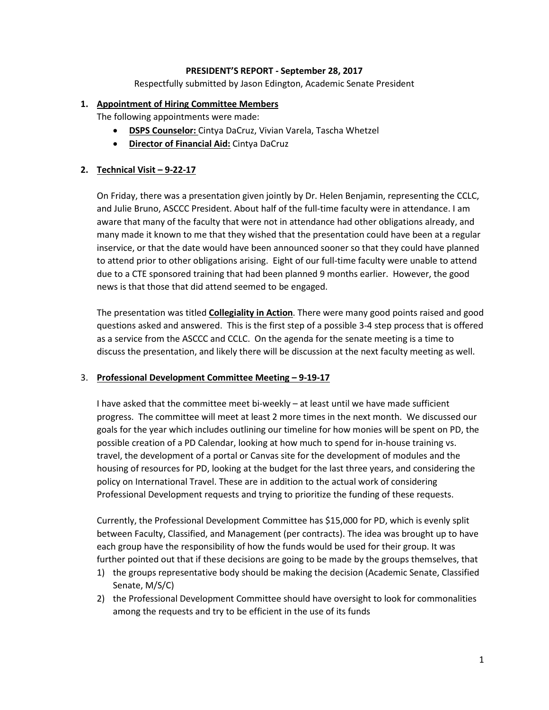## **PRESIDENT'S REPORT - September 28, 2017**

Respectfully submitted by Jason Edington, Academic Senate President

## **1. Appointment of Hiring Committee Members**

The following appointments were made:

- **DSPS Counselor:** Cintya DaCruz, Vivian Varela, Tascha Whetzel
- **Director of Financial Aid:** Cintya DaCruz

# **2. Technical Visit – 9-22-17**

On Friday, there was a presentation given jointly by Dr. Helen Benjamin, representing the CCLC, and Julie Bruno, ASCCC President. About half of the full-time faculty were in attendance. I am aware that many of the faculty that were not in attendance had other obligations already, and many made it known to me that they wished that the presentation could have been at a regular inservice, or that the date would have been announced sooner so that they could have planned to attend prior to other obligations arising. Eight of our full-time faculty were unable to attend due to a CTE sponsored training that had been planned 9 months earlier. However, the good news is that those that did attend seemed to be engaged.

The presentation was titled **Collegiality in Action**. There were many good points raised and good questions asked and answered. This is the first step of a possible 3-4 step process that is offered as a service from the ASCCC and CCLC. On the agenda for the senate meeting is a time to discuss the presentation, and likely there will be discussion at the next faculty meeting as well.

## 3. **Professional Development Committee Meeting – 9-19-17**

I have asked that the committee meet bi-weekly – at least until we have made sufficient progress. The committee will meet at least 2 more times in the next month. We discussed our goals for the year which includes outlining our timeline for how monies will be spent on PD, the possible creation of a PD Calendar, looking at how much to spend for in-house training vs. travel, the development of a portal or Canvas site for the development of modules and the housing of resources for PD, looking at the budget for the last three years, and considering the policy on International Travel. These are in addition to the actual work of considering Professional Development requests and trying to prioritize the funding of these requests.

Currently, the Professional Development Committee has \$15,000 for PD, which is evenly split between Faculty, Classified, and Management (per contracts). The idea was brought up to have each group have the responsibility of how the funds would be used for their group. It was further pointed out that if these decisions are going to be made by the groups themselves, that

- 1) the groups representative body should be making the decision (Academic Senate, Classified Senate, M/S/C)
- 2) the Professional Development Committee should have oversight to look for commonalities among the requests and try to be efficient in the use of its funds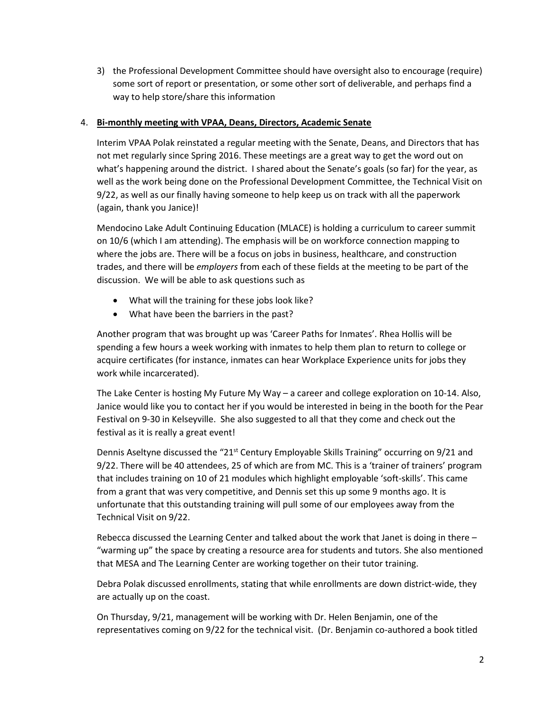3) the Professional Development Committee should have oversight also to encourage (require) some sort of report or presentation, or some other sort of deliverable, and perhaps find a way to help store/share this information

# 4. **Bi-monthly meeting with VPAA, Deans, Directors, Academic Senate**

Interim VPAA Polak reinstated a regular meeting with the Senate, Deans, and Directors that has not met regularly since Spring 2016. These meetings are a great way to get the word out on what's happening around the district. I shared about the Senate's goals (so far) for the year, as well as the work being done on the Professional Development Committee, the Technical Visit on 9/22, as well as our finally having someone to help keep us on track with all the paperwork (again, thank you Janice)!

Mendocino Lake Adult Continuing Education (MLACE) is holding a curriculum to career summit on 10/6 (which I am attending). The emphasis will be on workforce connection mapping to where the jobs are. There will be a focus on jobs in business, healthcare, and construction trades, and there will be *employers* from each of these fields at the meeting to be part of the discussion. We will be able to ask questions such as

- What will the training for these jobs look like?
- What have been the barriers in the past?

Another program that was brought up was 'Career Paths for Inmates'. Rhea Hollis will be spending a few hours a week working with inmates to help them plan to return to college or acquire certificates (for instance, inmates can hear Workplace Experience units for jobs they work while incarcerated).

The Lake Center is hosting My Future My Way – a career and college exploration on 10-14. Also, Janice would like you to contact her if you would be interested in being in the booth for the Pear Festival on 9-30 in Kelseyville. She also suggested to all that they come and check out the festival as it is really a great event!

Dennis Aseltyne discussed the "21<sup>st</sup> Century Employable Skills Training" occurring on 9/21 and 9/22. There will be 40 attendees, 25 of which are from MC. This is a 'trainer of trainers' program that includes training on 10 of 21 modules which highlight employable 'soft-skills'. This came from a grant that was very competitive, and Dennis set this up some 9 months ago. It is unfortunate that this outstanding training will pull some of our employees away from the Technical Visit on 9/22.

Rebecca discussed the Learning Center and talked about the work that Janet is doing in there – "warming up" the space by creating a resource area for students and tutors. She also mentioned that MESA and The Learning Center are working together on their tutor training.

Debra Polak discussed enrollments, stating that while enrollments are down district-wide, they are actually up on the coast.

On Thursday, 9/21, management will be working with Dr. Helen Benjamin, one of the representatives coming on 9/22 for the technical visit. (Dr. Benjamin co-authored a book titled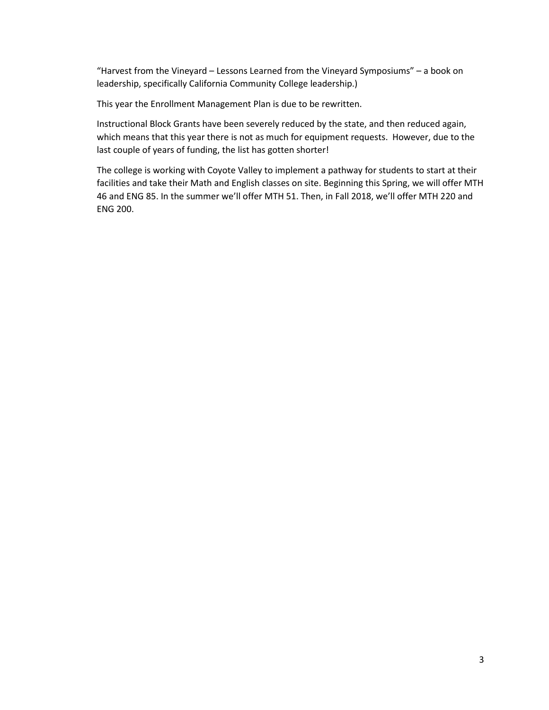"Harvest from the Vineyard – Lessons Learned from the Vineyard Symposiums" – a book on leadership, specifically California Community College leadership.)

This year the Enrollment Management Plan is due to be rewritten.

Instructional Block Grants have been severely reduced by the state, and then reduced again, which means that this year there is not as much for equipment requests. However, due to the last couple of years of funding, the list has gotten shorter!

The college is working with Coyote Valley to implement a pathway for students to start at their facilities and take their Math and English classes on site. Beginning this Spring, we will offer MTH 46 and ENG 85. In the summer we'll offer MTH 51. Then, in Fall 2018, we'll offer MTH 220 and ENG 200.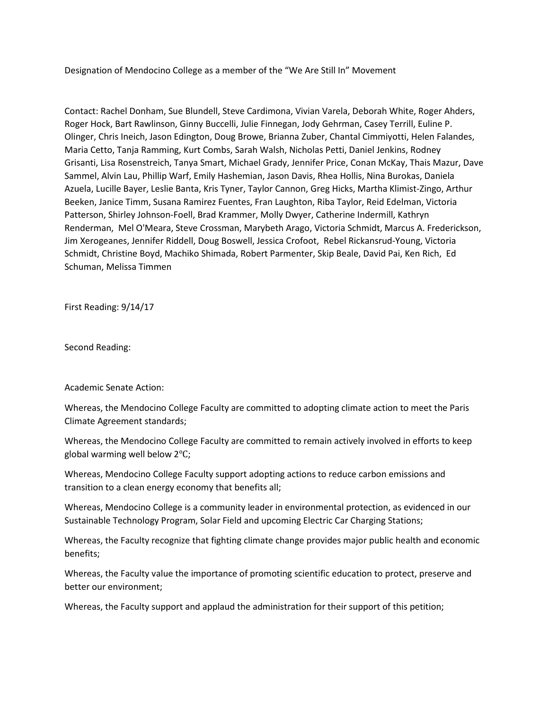Designation of Mendocino College as a member of the "We Are Still In" Movement

Contact: Rachel Donham, Sue Blundell, Steve Cardimona, Vivian Varela, Deborah White, Roger Ahders, Roger Hock, Bart Rawlinson, Ginny Buccelli, Julie Finnegan, Jody Gehrman, Casey Terrill, Euline P. Olinger, Chris Ineich, Jason Edington, Doug Browe, Brianna Zuber, Chantal Cimmiyotti, Helen Falandes, Maria Cetto, Tanja Ramming, Kurt Combs, Sarah Walsh, Nicholas Petti, Daniel Jenkins, Rodney Grisanti, Lisa Rosenstreich, Tanya Smart, Michael Grady, Jennifer Price, Conan McKay, Thais Mazur, Dave Sammel, Alvin Lau, Phillip Warf, Emily Hashemian, Jason Davis, Rhea Hollis, Nina Burokas, Daniela Azuela, Lucille Bayer, Leslie Banta, Kris Tyner, Taylor Cannon, Greg Hicks, Martha Klimist-Zingo, Arthur Beeken, Janice Timm, Susana Ramirez Fuentes, Fran Laughton, Riba Taylor, Reid Edelman, Victoria Patterson, Shirley Johnson-Foell, Brad Krammer, Molly Dwyer, Catherine Indermill, Kathryn Renderman, Mel O'Meara, Steve Crossman, Marybeth Arago, Victoria Schmidt, Marcus A. Frederickson, Jim Xerogeanes, Jennifer Riddell, Doug Boswell, Jessica Crofoot, Rebel Rickansrud-Young, Victoria Schmidt, Christine Boyd, Machiko Shimada, Robert Parmenter, Skip Beale, David Pai, Ken Rich, Ed Schuman, Melissa Timmen

First Reading: 9/14/17

Second Reading:

Academic Senate Action:

Whereas, the Mendocino College Faculty are committed to adopting climate action to meet the Paris Climate Agreement standards;

Whereas, the Mendocino College Faculty are committed to remain actively involved in efforts to keep global warming well below 2℃;

Whereas, Mendocino College Faculty support adopting actions to reduce carbon emissions and transition to a clean energy economy that benefits all;

Whereas, Mendocino College is a community leader in environmental protection, as evidenced in our Sustainable Technology Program, Solar Field and upcoming Electric Car Charging Stations;

Whereas, the Faculty recognize that fighting climate change provides major public health and economic benefits;

Whereas, the Faculty value the importance of promoting scientific education to protect, preserve and better our environment;

Whereas, the Faculty support and applaud the administration for their support of this petition;